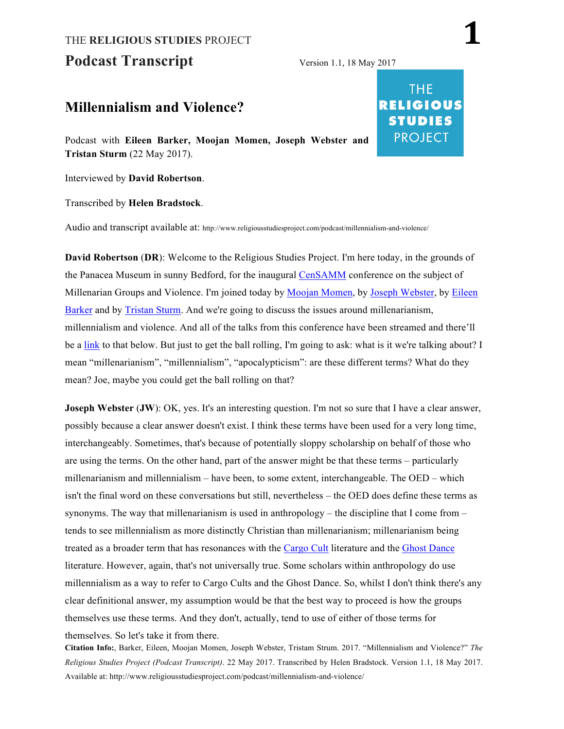# THE **RELIGIOUS STUDIES** PROJECT **1** Podcast Transcript Version 1.1, 18 May 2017

## **Millennialism and Violence?**

Podcast with **Eileen Barker, Moojan Momen, Joseph Webster and Tristan Sturm** (22 May 2017).

Interviewed by **David Robertson**.

Transcribed by **Helen Bradstock**.

Audio and transcript available at: http://www.religiousstudiesproject.com/podcast/millennialism-and-violence/

**David Robertson** (**DR**): Welcome to the Religious Studies Project. I'm here today, in the grounds of the Panacea Museum in sunny Bedford, for the inaugural CenSAMM conference on the subject of Millenarian Groups and Violence. I'm joined today by Moojan Momen, by Joseph Webster, by Eileen Barker and by Tristan Sturm. And we're going to discuss the issues around millenarianism, millennialism and violence. And all of the talks from this conference have been streamed and there'll be a link to that below. But just to get the ball rolling, I'm going to ask: what is it we're talking about? I mean "millenarianism", "millennialism", "apocalypticism": are these different terms? What do they mean? Joe, maybe you could get the ball rolling on that?

**Joseph Webster (JW)**: OK, yes. It's an interesting question. I'm not so sure that I have a clear answer, possibly because a clear answer doesn't exist. I think these terms have been used for a very long time, interchangeably. Sometimes, that's because of potentially sloppy scholarship on behalf of those who are using the terms. On the other hand, part of the answer might be that these terms – particularly millenarianism and millennialism – have been, to some extent, interchangeable. The OED – which isn't the final word on these conversations but still, nevertheless – the OED does define these terms as synonyms. The way that millenarianism is used in anthropology – the discipline that I come from  $$ tends to see millennialism as more distinctly Christian than millenarianism; millenarianism being treated as a broader term that has resonances with the Cargo Cult literature and the Ghost Dance literature. However, again, that's not universally true. Some scholars within anthropology do use millennialism as a way to refer to Cargo Cults and the Ghost Dance. So, whilst I don't think there's any clear definitional answer, my assumption would be that the best way to proceed is how the groups themselves use these terms. And they don't, actually, tend to use of either of those terms for themselves. So let's take it from there.

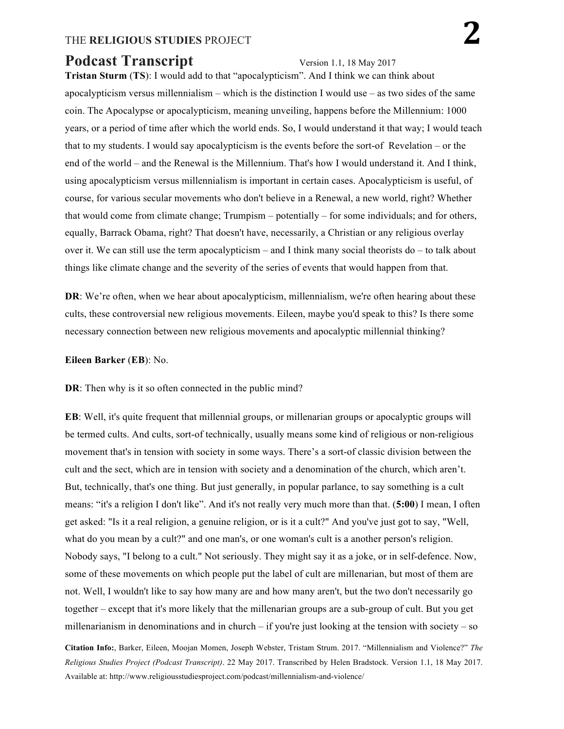# **Podcast Transcript** Version 1.1, 18 May 2017

**Tristan Sturm** (**TS**): I would add to that "apocalypticism". And I think we can think about apocalypticism versus millennialism – which is the distinction I would use – as two sides of the same coin. The Apocalypse or apocalypticism, meaning unveiling, happens before the Millennium: 1000 years, or a period of time after which the world ends. So, I would understand it that way; I would teach that to my students. I would say apocalypticism is the events before the sort-of Revelation – or the end of the world – and the Renewal is the Millennium. That's how I would understand it. And I think, using apocalypticism versus millennialism is important in certain cases. Apocalypticism is useful, of course, for various secular movements who don't believe in a Renewal, a new world, right? Whether that would come from climate change; Trumpism – potentially – for some individuals; and for others, equally, Barrack Obama, right? That doesn't have, necessarily, a Christian or any religious overlay over it. We can still use the term apocalypticism – and I think many social theorists do – to talk about things like climate change and the severity of the series of events that would happen from that.

**DR**: We're often, when we hear about apocalypticism, millennialism, we're often hearing about these cults, these controversial new religious movements. Eileen, maybe you'd speak to this? Is there some necessary connection between new religious movements and apocalyptic millennial thinking?

#### **Eileen Barker** (**EB**): No.

**DR**: Then why is it so often connected in the public mind?

**EB**: Well, it's quite frequent that millennial groups, or millenarian groups or apocalyptic groups will be termed cults. And cults, sort-of technically, usually means some kind of religious or non-religious movement that's in tension with society in some ways. There's a sort-of classic division between the cult and the sect, which are in tension with society and a denomination of the church, which aren't. But, technically, that's one thing. But just generally, in popular parlance, to say something is a cult means: "it's a religion I don't like". And it's not really very much more than that. (**5:00**) I mean, I often get asked: "Is it a real religion, a genuine religion, or is it a cult?" And you've just got to say, "Well, what do you mean by a cult?" and one man's, or one woman's cult is a another person's religion. Nobody says, "I belong to a cult." Not seriously. They might say it as a joke, or in self-defence. Now, some of these movements on which people put the label of cult are millenarian, but most of them are not. Well, I wouldn't like to say how many are and how many aren't, but the two don't necessarily go together – except that it's more likely that the millenarian groups are a sub-group of cult. But you get millenarianism in denominations and in church – if you're just looking at the tension with society – so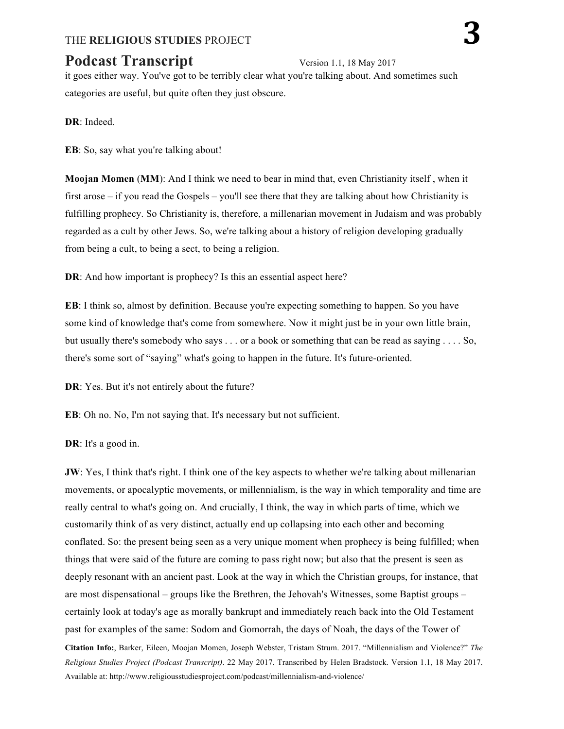# **Podcast Transcript** Version 1.1, 18 May 2017

it goes either way. You've got to be terribly clear what you're talking about. And sometimes such categories are useful, but quite often they just obscure.

**DR**: Indeed.

**EB**: So, say what you're talking about!

**Moojan Momen** (**MM**): And I think we need to bear in mind that, even Christianity itself , when it first arose – if you read the Gospels – you'll see there that they are talking about how Christianity is fulfilling prophecy. So Christianity is, therefore, a millenarian movement in Judaism and was probably regarded as a cult by other Jews. So, we're talking about a history of religion developing gradually from being a cult, to being a sect, to being a religion.

**DR**: And how important is prophecy? Is this an essential aspect here?

**EB**: I think so, almost by definition. Because you're expecting something to happen. So you have some kind of knowledge that's come from somewhere. Now it might just be in your own little brain, but usually there's somebody who says . . . or a book or something that can be read as saying . . . . So, there's some sort of "saying" what's going to happen in the future. It's future-oriented.

**DR**: Yes. But it's not entirely about the future?

**EB**: Oh no. No, I'm not saying that. It's necessary but not sufficient.

**DR**: It's a good in.

**JW**: Yes, I think that's right. I think one of the key aspects to whether we're talking about millenarian movements, or apocalyptic movements, or millennialism, is the way in which temporality and time are really central to what's going on. And crucially, I think, the way in which parts of time, which we customarily think of as very distinct, actually end up collapsing into each other and becoming conflated. So: the present being seen as a very unique moment when prophecy is being fulfilled; when things that were said of the future are coming to pass right now; but also that the present is seen as deeply resonant with an ancient past. Look at the way in which the Christian groups, for instance, that are most dispensational – groups like the Brethren, the Jehovah's Witnesses, some Baptist groups – certainly look at today's age as morally bankrupt and immediately reach back into the Old Testament past for examples of the same: Sodom and Gomorrah, the days of Noah, the days of the Tower of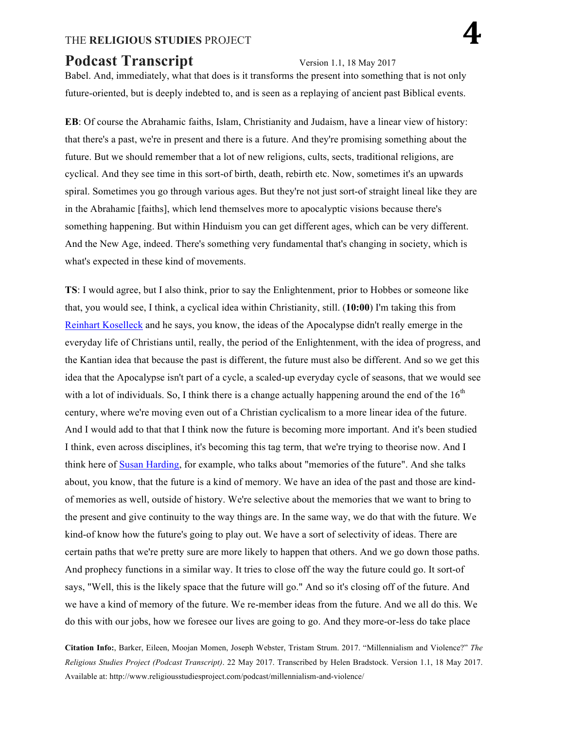# **Podcast Transcript** Version 1.1, 18 May 2017

Babel. And, immediately, what that does is it transforms the present into something that is not only future-oriented, but is deeply indebted to, and is seen as a replaying of ancient past Biblical events.

**EB**: Of course the Abrahamic faiths, Islam, Christianity and Judaism, have a linear view of history: that there's a past, we're in present and there is a future. And they're promising something about the future. But we should remember that a lot of new religions, cults, sects, traditional religions, are cyclical. And they see time in this sort-of birth, death, rebirth etc. Now, sometimes it's an upwards spiral. Sometimes you go through various ages. But they're not just sort-of straight lineal like they are in the Abrahamic [faiths], which lend themselves more to apocalyptic visions because there's something happening. But within Hinduism you can get different ages, which can be very different. And the New Age, indeed. There's something very fundamental that's changing in society, which is what's expected in these kind of movements.

**TS**: I would agree, but I also think, prior to say the Enlightenment, prior to Hobbes or someone like that, you would see, I think, a cyclical idea within Christianity, still. (**10:00**) I'm taking this from Reinhart Koselleck and he says, you know, the ideas of the Apocalypse didn't really emerge in the everyday life of Christians until, really, the period of the Enlightenment, with the idea of progress, and the Kantian idea that because the past is different, the future must also be different. And so we get this idea that the Apocalypse isn't part of a cycle, a scaled-up everyday cycle of seasons, that we would see with a lot of individuals. So, I think there is a change actually happening around the end of the  $16<sup>th</sup>$ century, where we're moving even out of a Christian cyclicalism to a more linear idea of the future. And I would add to that that I think now the future is becoming more important. And it's been studied I think, even across disciplines, it's becoming this tag term, that we're trying to theorise now. And I think here of Susan Harding, for example, who talks about "memories of the future". And she talks about, you know, that the future is a kind of memory. We have an idea of the past and those are kindof memories as well, outside of history. We're selective about the memories that we want to bring to the present and give continuity to the way things are. In the same way, we do that with the future. We kind-of know how the future's going to play out. We have a sort of selectivity of ideas. There are certain paths that we're pretty sure are more likely to happen that others. And we go down those paths. And prophecy functions in a similar way. It tries to close off the way the future could go. It sort-of says, "Well, this is the likely space that the future will go." And so it's closing off of the future. And we have a kind of memory of the future. We re-member ideas from the future. And we all do this. We do this with our jobs, how we foresee our lives are going to go. And they more-or-less do take place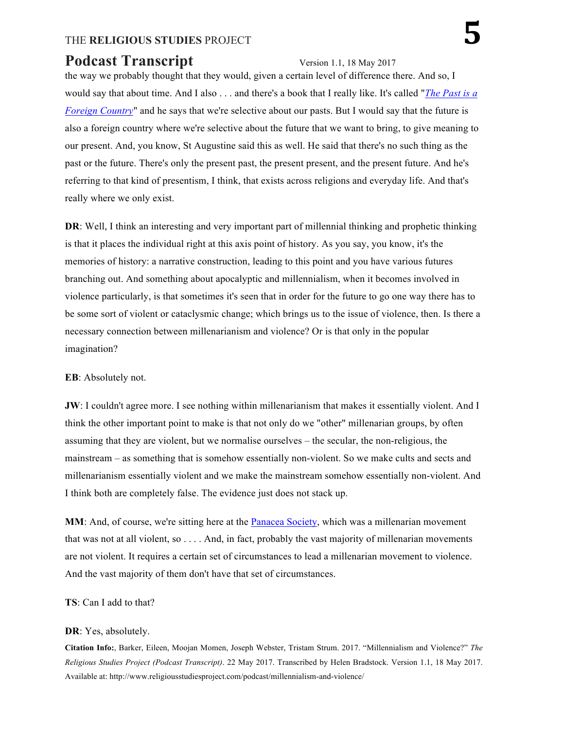# **Podcast Transcript** Version 1.1, 18 May 2017

the way we probably thought that they would, given a certain level of difference there. And so, I would say that about time. And I also . . . and there's a book that I really like. It's called "*The Past is a Foreign Country*" and he says that we're selective about our pasts. But I would say that the future is also a foreign country where we're selective about the future that we want to bring, to give meaning to our present. And, you know, St Augustine said this as well. He said that there's no such thing as the past or the future. There's only the present past, the present present, and the present future. And he's referring to that kind of presentism, I think, that exists across religions and everyday life. And that's really where we only exist.

**DR**: Well, I think an interesting and very important part of millennial thinking and prophetic thinking is that it places the individual right at this axis point of history. As you say, you know, it's the memories of history: a narrative construction, leading to this point and you have various futures branching out. And something about apocalyptic and millennialism, when it becomes involved in violence particularly, is that sometimes it's seen that in order for the future to go one way there has to be some sort of violent or cataclysmic change; which brings us to the issue of violence, then. Is there a necessary connection between millenarianism and violence? Or is that only in the popular imagination?

### **EB**: Absolutely not.

**JW**: I couldn't agree more. I see nothing within millenarianism that makes it essentially violent. And I think the other important point to make is that not only do we "other" millenarian groups, by often assuming that they are violent, but we normalise ourselves – the secular, the non-religious, the mainstream – as something that is somehow essentially non-violent. So we make cults and sects and millenarianism essentially violent and we make the mainstream somehow essentially non-violent. And I think both are completely false. The evidence just does not stack up.

MM: And, of course, we're sitting here at the Panacea Society, which was a millenarian movement that was not at all violent, so . . . . And, in fact, probably the vast majority of millenarian movements are not violent. It requires a certain set of circumstances to lead a millenarian movement to violence. And the vast majority of them don't have that set of circumstances.

### **TS**: Can I add to that?

#### **DR**: Yes, absolutely.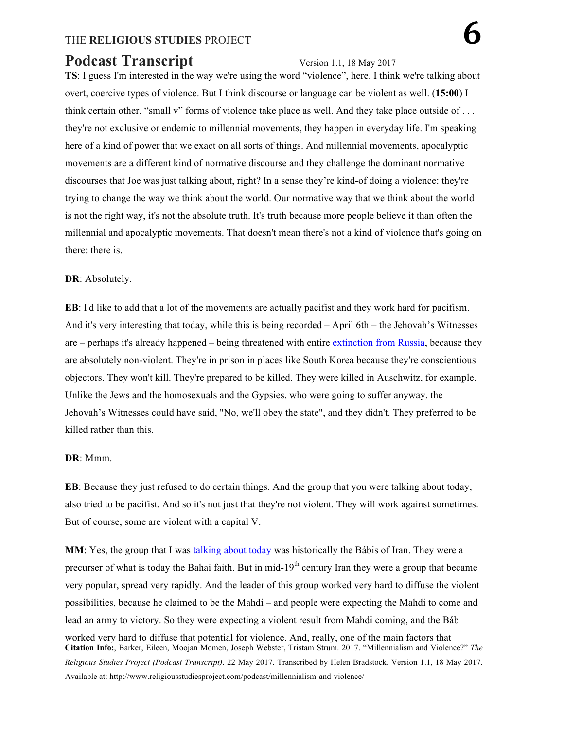# **Podcast Transcript** Version 1.1, 18 May 2017

**TS**: I guess I'm interested in the way we're using the word "violence", here. I think we're talking about overt, coercive types of violence. But I think discourse or language can be violent as well. (**15:00**) I think certain other, "small v" forms of violence take place as well. And they take place outside of . . . they're not exclusive or endemic to millennial movements, they happen in everyday life. I'm speaking here of a kind of power that we exact on all sorts of things. And millennial movements, apocalyptic movements are a different kind of normative discourse and they challenge the dominant normative discourses that Joe was just talking about, right? In a sense they're kind-of doing a violence: they're trying to change the way we think about the world. Our normative way that we think about the world is not the right way, it's not the absolute truth. It's truth because more people believe it than often the millennial and apocalyptic movements. That doesn't mean there's not a kind of violence that's going on there: there is.

### **DR**: Absolutely.

**EB**: I'd like to add that a lot of the movements are actually pacifist and they work hard for pacifism. And it's very interesting that today, while this is being recorded – April 6th – the Jehovah's Witnesses are – perhaps it's already happened – being threatened with entire extinction from Russia, because they are absolutely non-violent. They're in prison in places like South Korea because they're conscientious objectors. They won't kill. They're prepared to be killed. They were killed in Auschwitz, for example. Unlike the Jews and the homosexuals and the Gypsies, who were going to suffer anyway, the Jehovah's Witnesses could have said, "No, we'll obey the state", and they didn't. They preferred to be killed rather than this.

### **DR**: Mmm.

**EB**: Because they just refused to do certain things. And the group that you were talking about today, also tried to be pacifist. And so it's not just that they're not violent. They will work against sometimes. But of course, some are violent with a capital V.

**Citation Info:**, Barker, Eileen, Moojan Momen, Joseph Webster, Tristam Strum. 2017. "Millennialism and Violence?" *The Religious Studies Project (Podcast Transcript)*. 22 May 2017. Transcribed by Helen Bradstock. Version 1.1, 18 May 2017. Available at: http://www.religiousstudiesproject.com/podcast/millennialism-and-violence/ **MM**: Yes, the group that I was talking about today was historically the Bábis of Iran. They were a precurser of what is today the Bahai faith. But in mid-19<sup>th</sup> century Iran they were a group that became very popular, spread very rapidly. And the leader of this group worked very hard to diffuse the violent possibilities, because he claimed to be the Mahdi – and people were expecting the Mahdi to come and lead an army to victory. So they were expecting a violent result from Mahdi coming, and the Báb worked very hard to diffuse that potential for violence. And, really, one of the main factors that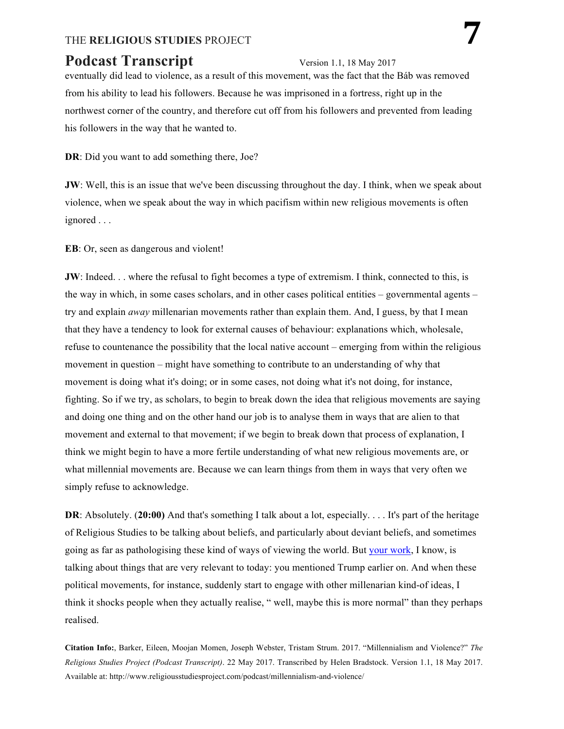# **Podcast Transcript** Version 1.1, 18 May 2017

eventually did lead to violence, as a result of this movement, was the fact that the Báb was removed from his ability to lead his followers. Because he was imprisoned in a fortress, right up in the northwest corner of the country, and therefore cut off from his followers and prevented from leading his followers in the way that he wanted to.

**DR**: Did you want to add something there, Joe?

**JW**: Well, this is an issue that we've been discussing throughout the day. I think, when we speak about violence, when we speak about the way in which pacifism within new religious movements is often ignored . . .

**EB**: Or, seen as dangerous and violent!

**JW**: Indeed. . . where the refusal to fight becomes a type of extremism. I think, connected to this, is the way in which, in some cases scholars, and in other cases political entities – governmental agents – try and explain *away* millenarian movements rather than explain them. And, I guess, by that I mean that they have a tendency to look for external causes of behaviour: explanations which, wholesale, refuse to countenance the possibility that the local native account – emerging from within the religious movement in question – might have something to contribute to an understanding of why that movement is doing what it's doing; or in some cases, not doing what it's not doing, for instance, fighting. So if we try, as scholars, to begin to break down the idea that religious movements are saying and doing one thing and on the other hand our job is to analyse them in ways that are alien to that movement and external to that movement; if we begin to break down that process of explanation, I think we might begin to have a more fertile understanding of what new religious movements are, or what millennial movements are. Because we can learn things from them in ways that very often we simply refuse to acknowledge.

**DR**: Absolutely. (20:00) And that's something I talk about a lot, especially. . . . It's part of the heritage of Religious Studies to be talking about beliefs, and particularly about deviant beliefs, and sometimes going as far as pathologising these kind of ways of viewing the world. But your work, I know, is talking about things that are very relevant to today: you mentioned Trump earlier on. And when these political movements, for instance, suddenly start to engage with other millenarian kind-of ideas, I think it shocks people when they actually realise, " well, maybe this is more normal" than they perhaps realised.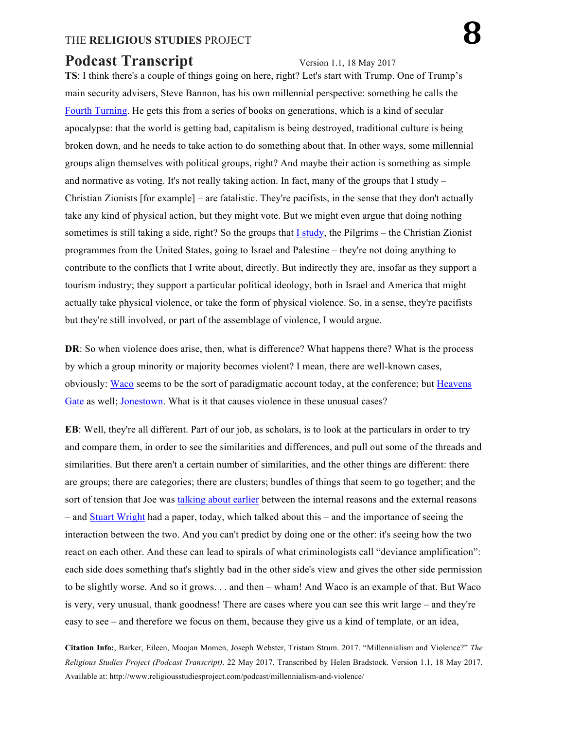# **Podcast Transcript** Version 1.1, 18 May 2017

**TS**: I think there's a couple of things going on here, right? Let's start with Trump. One of Trump's main security advisers, Steve Bannon, has his own millennial perspective: something he calls the Fourth Turning. He gets this from a series of books on generations, which is a kind of secular apocalypse: that the world is getting bad, capitalism is being destroyed, traditional culture is being broken down, and he needs to take action to do something about that. In other ways, some millennial groups align themselves with political groups, right? And maybe their action is something as simple and normative as voting. It's not really taking action. In fact, many of the groups that I study – Christian Zionists [for example] – are fatalistic. They're pacifists, in the sense that they don't actually take any kind of physical action, but they might vote. But we might even argue that doing nothing sometimes is still taking a side, right? So the groups that I study, the Pilgrims – the Christian Zionist programmes from the United States, going to Israel and Palestine – they're not doing anything to contribute to the conflicts that I write about, directly. But indirectly they are, insofar as they support a tourism industry; they support a particular political ideology, both in Israel and America that might actually take physical violence, or take the form of physical violence. So, in a sense, they're pacifists but they're still involved, or part of the assemblage of violence, I would argue.

**DR**: So when violence does arise, then, what is difference? What happens there? What is the process by which a group minority or majority becomes violent? I mean, there are well-known cases, obviously: Waco seems to be the sort of paradigmatic account today, at the conference; but Heavens Gate as well; Jonestown. What is it that causes violence in these unusual cases?

**EB**: Well, they're all different. Part of our job, as scholars, is to look at the particulars in order to try and compare them, in order to see the similarities and differences, and pull out some of the threads and similarities. But there aren't a certain number of similarities, and the other things are different: there are groups; there are categories; there are clusters; bundles of things that seem to go together; and the sort of tension that Joe was talking about earlier between the internal reasons and the external reasons – and Stuart Wright had a paper, today, which talked about this – and the importance of seeing the interaction between the two. And you can't predict by doing one or the other: it's seeing how the two react on each other. And these can lead to spirals of what criminologists call "deviance amplification": each side does something that's slightly bad in the other side's view and gives the other side permission to be slightly worse. And so it grows. . . and then – wham! And Waco is an example of that. But Waco is very, very unusual, thank goodness! There are cases where you can see this writ large – and they're easy to see – and therefore we focus on them, because they give us a kind of template, or an idea,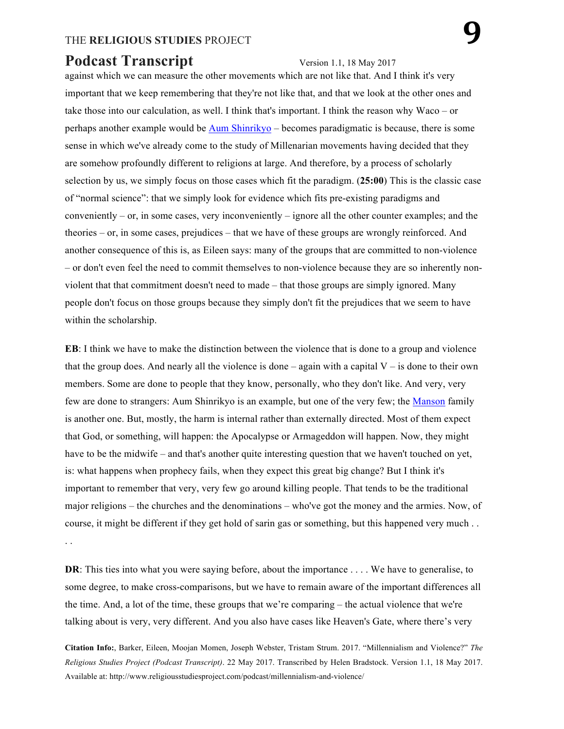# **Podcast Transcript** Version 1.1, 18 May 2017

against which we can measure the other movements which are not like that. And I think it's very important that we keep remembering that they're not like that, and that we look at the other ones and take those into our calculation, as well. I think that's important. I think the reason why Waco – or perhaps another example would be Aum Shinrikyo – becomes paradigmatic is because, there is some sense in which we've already come to the study of Millenarian movements having decided that they are somehow profoundly different to religions at large. And therefore, by a process of scholarly selection by us, we simply focus on those cases which fit the paradigm. (**25:00**) This is the classic case of "normal science": that we simply look for evidence which fits pre-existing paradigms and conveniently – or, in some cases, very inconveniently – ignore all the other counter examples; and the theories – or, in some cases, prejudices – that we have of these groups are wrongly reinforced. And another consequence of this is, as Eileen says: many of the groups that are committed to non-violence – or don't even feel the need to commit themselves to non-violence because they are so inherently nonviolent that that commitment doesn't need to made – that those groups are simply ignored. Many people don't focus on those groups because they simply don't fit the prejudices that we seem to have within the scholarship.

**EB**: I think we have to make the distinction between the violence that is done to a group and violence that the group does. And nearly all the violence is done – again with a capital  $V - iS$  done to their own members. Some are done to people that they know, personally, who they don't like. And very, very few are done to strangers: Aum Shinrikyo is an example, but one of the very few; the Manson family is another one. But, mostly, the harm is internal rather than externally directed. Most of them expect that God, or something, will happen: the Apocalypse or Armageddon will happen. Now, they might have to be the midwife – and that's another quite interesting question that we haven't touched on yet, is: what happens when prophecy fails, when they expect this great big change? But I think it's important to remember that very, very few go around killing people. That tends to be the traditional major religions – the churches and the denominations – who've got the money and the armies. Now, of course, it might be different if they get hold of sarin gas or something, but this happened very much . . . .

**DR**: This ties into what you were saying before, about the importance . . . . We have to generalise, to some degree, to make cross-comparisons, but we have to remain aware of the important differences all the time. And, a lot of the time, these groups that we're comparing – the actual violence that we're talking about is very, very different. And you also have cases like Heaven's Gate, where there's very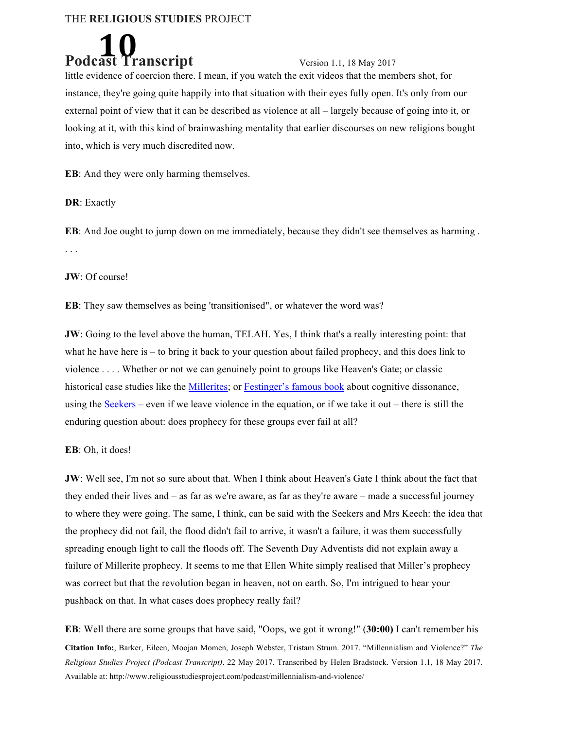

little evidence of coercion there. I mean, if you watch the exit videos that the members shot, for instance, they're going quite happily into that situation with their eyes fully open. It's only from our external point of view that it can be described as violence at all – largely because of going into it, or looking at it, with this kind of brainwashing mentality that earlier discourses on new religions bought into, which is very much discredited now.

**EB**: And they were only harming themselves.

**DR**: Exactly

**EB**: And Joe ought to jump down on me immediately, because they didn't see themselves as harming . . . .

**JW**: Of course!

**EB**: They saw themselves as being 'transitionised", or whatever the word was?

**JW**: Going to the level above the human, TELAH. Yes, I think that's a really interesting point: that what he have here is – to bring it back to your question about failed prophecy, and this does link to violence . . . . Whether or not we can genuinely point to groups like Heaven's Gate; or classic historical case studies like the Millerites; or Festinger's famous book about cognitive dissonance, using the Seekers – even if we leave violence in the equation, or if we take it out – there is still the enduring question about: does prophecy for these groups ever fail at all?

**EB**: Oh, it does!

**JW**: Well see, I'm not so sure about that. When I think about Heaven's Gate I think about the fact that they ended their lives and – as far as we're aware, as far as they're aware – made a successful journey to where they were going. The same, I think, can be said with the Seekers and Mrs Keech: the idea that the prophecy did not fail, the flood didn't fail to arrive, it wasn't a failure, it was them successfully spreading enough light to call the floods off. The Seventh Day Adventists did not explain away a failure of Millerite prophecy. It seems to me that Ellen White simply realised that Miller's prophecy was correct but that the revolution began in heaven, not on earth. So, I'm intrigued to hear your pushback on that. In what cases does prophecy really fail?

**Citation Info:**, Barker, Eileen, Moojan Momen, Joseph Webster, Tristam Strum. 2017. "Millennialism and Violence?" *The Religious Studies Project (Podcast Transcript)*. 22 May 2017. Transcribed by Helen Bradstock. Version 1.1, 18 May 2017. Available at: http://www.religiousstudiesproject.com/podcast/millennialism-and-violence/ **EB**: Well there are some groups that have said, "Oops, we got it wrong!" (**30:00)** I can't remember his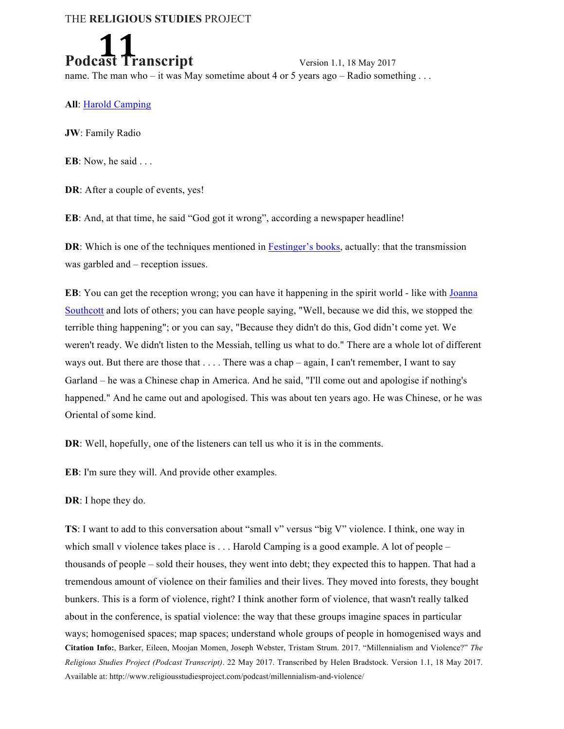

**Podcast Transcript 11, 18 May 2017** name. The man who – it was May sometime about 4 or 5 years ago – Radio something ...

**All**: Harold Camping

**JW**: Family Radio

**EB**: Now, he said . . .

**DR**: After a couple of events, yes!

**EB**: And, at that time, he said "God got it wrong", according a newspaper headline!

**DR**: Which is one of the techniques mentioned in Festinger's books, actually: that the transmission was garbled and – reception issues.

**EB**: You can get the reception wrong; you can have it happening in the spirit world - like with Joanna Southcott and lots of others; you can have people saying, "Well, because we did this, we stopped the terrible thing happening"; or you can say, "Because they didn't do this, God didn't come yet. We weren't ready. We didn't listen to the Messiah, telling us what to do." There are a whole lot of different ways out. But there are those that . . . . There was a chap – again, I can't remember, I want to say Garland – he was a Chinese chap in America. And he said, "I'll come out and apologise if nothing's happened." And he came out and apologised. This was about ten years ago. He was Chinese, or he was Oriental of some kind.

**DR**: Well, hopefully, one of the listeners can tell us who it is in the comments.

**EB**: I'm sure they will. And provide other examples.

**DR**: I hope they do.

**Citation Info:**, Barker, Eileen, Moojan Momen, Joseph Webster, Tristam Strum. 2017. "Millennialism and Violence?" *The Religious Studies Project (Podcast Transcript)*. 22 May 2017. Transcribed by Helen Bradstock. Version 1.1, 18 May 2017. Available at: http://www.religiousstudiesproject.com/podcast/millennialism-and-violence/ **TS**: I want to add to this conversation about "small v" versus "big V" violence. I think, one way in which small v violence takes place is . . . Harold Camping is a good example. A lot of people – thousands of people – sold their houses, they went into debt; they expected this to happen. That had a tremendous amount of violence on their families and their lives. They moved into forests, they bought bunkers. This is a form of violence, right? I think another form of violence, that wasn't really talked about in the conference, is spatial violence: the way that these groups imagine spaces in particular ways; homogenised spaces; map spaces; understand whole groups of people in homogenised ways and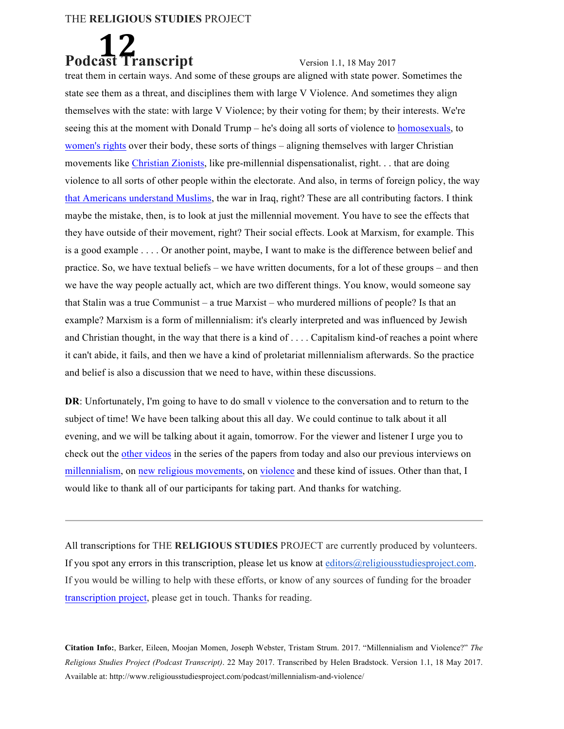

treat them in certain ways. And some of these groups are aligned with state power. Sometimes the state see them as a threat, and disciplines them with large V Violence. And sometimes they align themselves with the state: with large V Violence; by their voting for them; by their interests. We're seeing this at the moment with Donald Trump – he's doing all sorts of violence to homosexuals, to women's rights over their body, these sorts of things – aligning themselves with larger Christian movements like Christian Zionists, like pre-millennial dispensationalist, right. . . that are doing violence to all sorts of other people within the electorate. And also, in terms of foreign policy, the way that Americans understand Muslims, the war in Iraq, right? These are all contributing factors. I think maybe the mistake, then, is to look at just the millennial movement. You have to see the effects that they have outside of their movement, right? Their social effects. Look at Marxism, for example. This is a good example . . . . Or another point, maybe, I want to make is the difference between belief and practice. So, we have textual beliefs – we have written documents, for a lot of these groups – and then we have the way people actually act, which are two different things. You know, would someone say that Stalin was a true Communist – a true Marxist – who murdered millions of people? Is that an example? Marxism is a form of millennialism: it's clearly interpreted and was influenced by Jewish and Christian thought, in the way that there is a kind of . . . . Capitalism kind-of reaches a point where it can't abide, it fails, and then we have a kind of proletariat millennialism afterwards. So the practice and belief is also a discussion that we need to have, within these discussions.

**DR**: Unfortunately, I'm going to have to do small v violence to the conversation and to return to the subject of time! We have been talking about this all day. We could continue to talk about it all evening, and we will be talking about it again, tomorrow. For the viewer and listener I urge you to check out the other videos in the series of the papers from today and also our previous interviews on millennialism, on new religious movements, on violence and these kind of issues. Other than that, I would like to thank all of our participants for taking part. And thanks for watching.

All transcriptions for THE **RELIGIOUS STUDIES** PROJECT are currently produced by volunteers. If you spot any errors in this transcription, please let us know at editors@religiousstudiesproject.com. If you would be willing to help with these efforts, or know of any sources of funding for the broader transcription project, please get in touch. Thanks for reading.